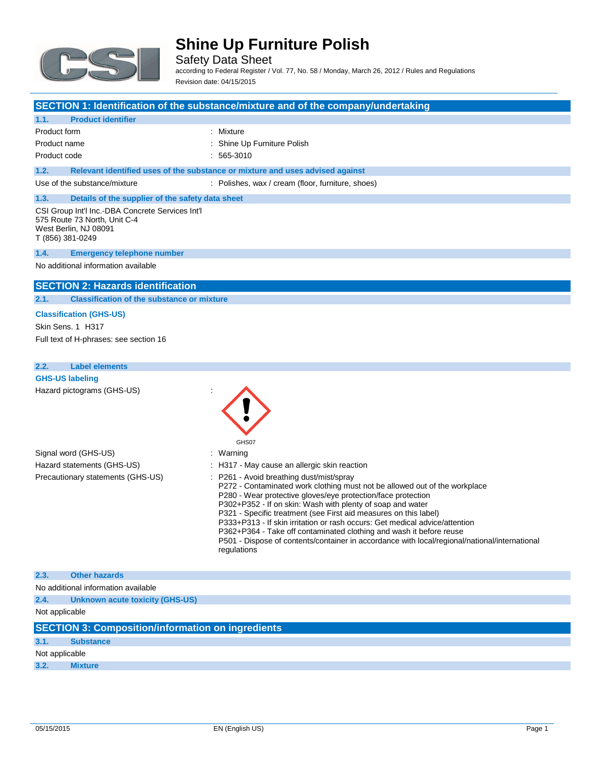

Safety Data Sheet according to Federal Register / Vol. 77, No. 58 / Monday, March 26, 2012 / Rules and Regulations Revision date: 04/15/2015

#### **SECTION 1: Identification of the substance/mixture and of the company/undertaking**

#### **1.1. Product identifier**

| Product form | : Mixture                   |
|--------------|-----------------------------|
| Product name | : Shine Up Furniture Polish |
| Product code | $: 565-3010$                |

# **1.2. Relevant identified uses of the substance or mixture and uses advised against**

Use of the substance/mixture : Polishes, wax / cream (floor, furniture, shoes)

## **1.3. Details of the supplier of the safety data sheet**

CSI Group Int'l Inc.-DBA Concrete Services Int'l 575 Route 73 North, Unit C-4 West Berlin, NJ 08091 T (856) 381-0249

#### **1.4. Emergency telephone number**

No additional information available

#### **SECTION 2: Hazards identification**

**2.1. Classification of the substance or mixture**

#### **Classification (GHS-US)**

Skin Sens. 1 H317 Full text of H-phrases: see section 16

#### **2.2. Label elements**

|--|--|

| Signal word (GHS-US)<br>Hazard statements (GHS-US)<br>Precautionary statements (GHS-US) | GHS07<br>: Warning<br>: H317 - May cause an allergic skin reaction<br>: P261 - Avoid breathing dust/mist/spray<br>P272 - Contaminated work clothing must not be allowed out of the workplace<br>P280 - Wear protective gloves/eye protection/face protection<br>P302+P352 - If on skin: Wash with plenty of soap and water<br>P321 - Specific treatment (see First aid measures on this label)<br>P333+P313 - If skin irritation or rash occurs: Get medical advice/attention<br>P362+P364 - Take off contaminated clothing and wash it before reuse<br>P501 - Dispose of contents/container in accordance with local/regional/national/international<br>regulations |
|-----------------------------------------------------------------------------------------|----------------------------------------------------------------------------------------------------------------------------------------------------------------------------------------------------------------------------------------------------------------------------------------------------------------------------------------------------------------------------------------------------------------------------------------------------------------------------------------------------------------------------------------------------------------------------------------------------------------------------------------------------------------------|
| 2.3.<br><b>Other hazards</b>                                                            |                                                                                                                                                                                                                                                                                                                                                                                                                                                                                                                                                                                                                                                                      |
| No additional information available                                                     |                                                                                                                                                                                                                                                                                                                                                                                                                                                                                                                                                                                                                                                                      |

#### **2.4. Unknown acute toxicity (GHS-US)**

Not applicable

|                | <b>SECTION 3: Composition/information on ingredients</b> |  |  |  |
|----------------|----------------------------------------------------------|--|--|--|
| 3.1.           | <b>Substance</b>                                         |  |  |  |
| Not applicable |                                                          |  |  |  |
| 3.2.           | <b>Mixture</b>                                           |  |  |  |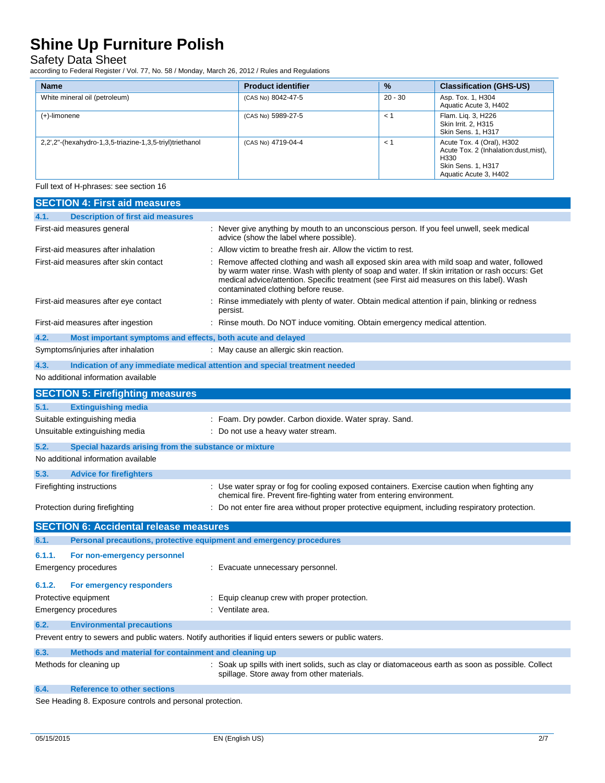### Safety Data Sheet

according to Federal Register / Vol. 77, No. 58 / Monday, March 26, 2012 / Rules and Regulations

| <b>Name</b>                                              | <b>Product identifier</b> | $\frac{9}{6}$ | <b>Classification (GHS-US)</b>                                                                                            |
|----------------------------------------------------------|---------------------------|---------------|---------------------------------------------------------------------------------------------------------------------------|
| White mineral oil (petroleum)                            | (CAS No) 8042-47-5        | $20 - 30$     | Asp. Tox. 1, H304<br>Aquatic Acute 3, H402                                                                                |
| (+)-limonene                                             | (CAS No) 5989-27-5        | < 1           | Flam. Lig. 3, H226<br>Skin Irrit. 2, H315<br>Skin Sens. 1, H317                                                           |
| 2.2',2"-(hexahydro-1,3,5-triazine-1,3,5-triyl)triethanol | (CAS No) 4719-04-4        | < 1           | Acute Tox. 4 (Oral), H302<br>Acute Tox. 2 (Inhalation:dust, mist),<br>H330<br>Skin Sens. 1, H317<br>Aquatic Acute 3, H402 |

Full text of H-phrases: see section 16

| <b>SECTION 4: First aid measures</b>                                                                    |                                                                                                                                                                                                                                                                                                                                   |  |
|---------------------------------------------------------------------------------------------------------|-----------------------------------------------------------------------------------------------------------------------------------------------------------------------------------------------------------------------------------------------------------------------------------------------------------------------------------|--|
| <b>Description of first aid measures</b><br>4.1.                                                        |                                                                                                                                                                                                                                                                                                                                   |  |
| First-aid measures general                                                                              | : Never give anything by mouth to an unconscious person. If you feel unwell, seek medical<br>advice (show the label where possible).                                                                                                                                                                                              |  |
| First-aid measures after inhalation                                                                     | Allow victim to breathe fresh air. Allow the victim to rest.                                                                                                                                                                                                                                                                      |  |
| First-aid measures after skin contact                                                                   | Remove affected clothing and wash all exposed skin area with mild soap and water, followed<br>by warm water rinse. Wash with plenty of soap and water. If skin irritation or rash occurs: Get<br>medical advice/attention. Specific treatment (see First aid measures on this label). Wash<br>contaminated clothing before reuse. |  |
| First-aid measures after eye contact                                                                    | Rinse immediately with plenty of water. Obtain medical attention if pain, blinking or redness<br>persist.                                                                                                                                                                                                                         |  |
| First-aid measures after ingestion                                                                      | Rinse mouth. Do NOT induce vomiting. Obtain emergency medical attention.                                                                                                                                                                                                                                                          |  |
| 4.2.<br>Most important symptoms and effects, both acute and delayed                                     |                                                                                                                                                                                                                                                                                                                                   |  |
| Symptoms/injuries after inhalation                                                                      | : May cause an allergic skin reaction.                                                                                                                                                                                                                                                                                            |  |
| 4.3.<br>Indication of any immediate medical attention and special treatment needed                      |                                                                                                                                                                                                                                                                                                                                   |  |
| No additional information available                                                                     |                                                                                                                                                                                                                                                                                                                                   |  |
| <b>SECTION 5: Firefighting measures</b>                                                                 |                                                                                                                                                                                                                                                                                                                                   |  |
| 5.1.<br><b>Extinguishing media</b>                                                                      |                                                                                                                                                                                                                                                                                                                                   |  |
| Suitable extinguishing media                                                                            | : Foam. Dry powder. Carbon dioxide. Water spray. Sand.                                                                                                                                                                                                                                                                            |  |
| Unsuitable extinguishing media                                                                          | : Do not use a heavy water stream.                                                                                                                                                                                                                                                                                                |  |
| 5.2.<br>Special hazards arising from the substance or mixture                                           |                                                                                                                                                                                                                                                                                                                                   |  |
| No additional information available                                                                     |                                                                                                                                                                                                                                                                                                                                   |  |
| 5.3.<br><b>Advice for firefighters</b>                                                                  |                                                                                                                                                                                                                                                                                                                                   |  |
| Firefighting instructions                                                                               | : Use water spray or fog for cooling exposed containers. Exercise caution when fighting any<br>chemical fire. Prevent fire-fighting water from entering environment.                                                                                                                                                              |  |
| Protection during firefighting                                                                          | : Do not enter fire area without proper protective equipment, including respiratory protection.                                                                                                                                                                                                                                   |  |
| <b>SECTION 6: Accidental release measures</b>                                                           |                                                                                                                                                                                                                                                                                                                                   |  |
| Personal precautions, protective equipment and emergency procedures<br>6.1.                             |                                                                                                                                                                                                                                                                                                                                   |  |
| 6.1.1.<br>For non-emergency personnel                                                                   |                                                                                                                                                                                                                                                                                                                                   |  |
| Emergency procedures                                                                                    | : Evacuate unnecessary personnel.                                                                                                                                                                                                                                                                                                 |  |
| 6.1.2.<br>For emergency responders                                                                      |                                                                                                                                                                                                                                                                                                                                   |  |
| Protective equipment                                                                                    | : Equip cleanup crew with proper protection.                                                                                                                                                                                                                                                                                      |  |
| Emergency procedures                                                                                    | : Ventilate area.                                                                                                                                                                                                                                                                                                                 |  |
| 6.2.<br><b>Environmental precautions</b>                                                                |                                                                                                                                                                                                                                                                                                                                   |  |
| Prevent entry to sewers and public waters. Notify authorities if liquid enters sewers or public waters. |                                                                                                                                                                                                                                                                                                                                   |  |
| 6.3.<br>Methods and material for containment and cleaning up                                            |                                                                                                                                                                                                                                                                                                                                   |  |
| Methods for cleaning up                                                                                 | Soak up spills with inert solids, such as clay or diatomaceous earth as soon as possible. Collect<br>spillage. Store away from other materials.                                                                                                                                                                                   |  |
| 6.4.<br><b>Reference to other sections</b>                                                              |                                                                                                                                                                                                                                                                                                                                   |  |
| $\sim$ 0 $\sim$ $\sim$                                                                                  |                                                                                                                                                                                                                                                                                                                                   |  |

See Heading 8. Exposure controls and personal protection.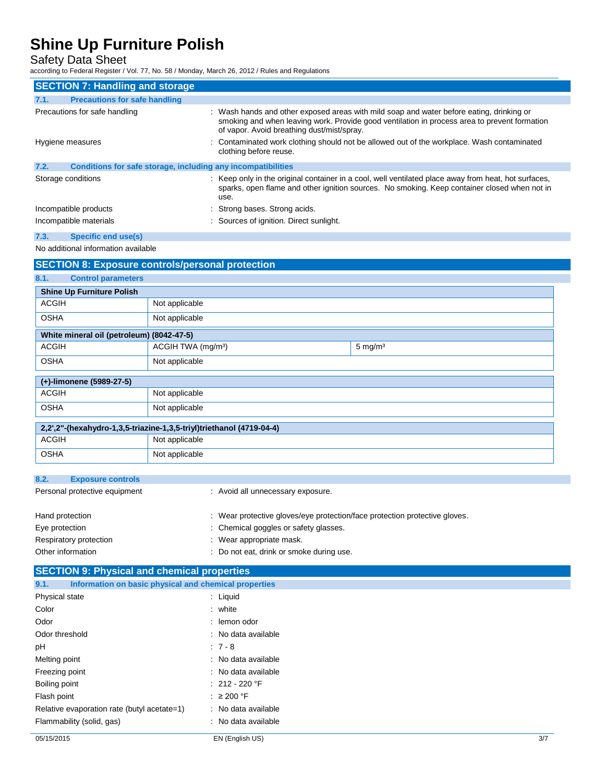Safety Data Sheet

according to Federal Register / Vol. 77, No. 58 / Monday, March 26, 2012 / Rules and Regulations

| <b>SECTION 7: Handling and storage</b>                               |                                                                                                                                                                                                                                        |  |  |
|----------------------------------------------------------------------|----------------------------------------------------------------------------------------------------------------------------------------------------------------------------------------------------------------------------------------|--|--|
| <b>Precautions for safe handling</b><br>7.1.                         |                                                                                                                                                                                                                                        |  |  |
| Precautions for safe handling                                        | : Wash hands and other exposed areas with mild soap and water before eating, drinking or<br>smoking and when leaving work. Provide good ventilation in process area to prevent formation<br>of vapor. Avoid breathing dust/mist/spray. |  |  |
| Hygiene measures                                                     | : Contaminated work clothing should not be allowed out of the workplace. Wash contaminated<br>clothing before reuse.                                                                                                                   |  |  |
| 7.2.<br>Conditions for safe storage, including any incompatibilities |                                                                                                                                                                                                                                        |  |  |
| Storage conditions                                                   | : Keep only in the original container in a cool, well ventilated place away from heat, hot surfaces,<br>sparks, open flame and other ignition sources. No smoking. Keep container closed when not in<br>use.                           |  |  |
| Incompatible products                                                | : Strong bases. Strong acids.                                                                                                                                                                                                          |  |  |
| Incompatible materials                                               | : Sources of ignition. Direct sunlight.                                                                                                                                                                                                |  |  |
| <b>Specific end use(s)</b><br>7.3.                                   |                                                                                                                                                                                                                                        |  |  |
| No additional information available                                  |                                                                                                                                                                                                                                        |  |  |
| <b>SECTION 8: Exposure controls/personal protection</b>              |                                                                                                                                                                                                                                        |  |  |
| 8.1.<br><b>Control parameters</b>                                    |                                                                                                                                                                                                                                        |  |  |

| <b>Shine Up Furniture Polish</b>                                     |  |  |
|----------------------------------------------------------------------|--|--|
| Not applicable                                                       |  |  |
| Not applicable                                                       |  |  |
| White mineral oil (petroleum) (8042-47-5)                            |  |  |
| ACGIH TWA (mg/m <sup>3</sup> )<br>$5 \text{ mg/m}^3$                 |  |  |
| Not applicable                                                       |  |  |
| (+)-limonene (5989-27-5)                                             |  |  |
| Not applicable                                                       |  |  |
| Not applicable                                                       |  |  |
| 2,2',2"-(hexahydro-1,3,5-triazine-1,3,5-triyl)triethanol (4719-04-4) |  |  |
| Not applicable                                                       |  |  |
| Not applicable                                                       |  |  |
|                                                                      |  |  |

| 8.2.<br><b>Exposure controls</b> |                                                                            |
|----------------------------------|----------------------------------------------------------------------------|
| Personal protective equipment    | : Avoid all unnecessary exposure.                                          |
|                                  |                                                                            |
| Hand protection                  | : Wear protective gloves/eye protection/face protection protective gloves. |
| Eye protection                   | : Chemical goggles or safety glasses.                                      |
| Respiratory protection           | : Wear appropriate mask.                                                   |
| Other information                | Do not eat, drink or smoke during use.                                     |

# **SECTION 9: Physical and chemical properties**

| 9.1.<br>Information on basic physical and chemical properties |                     |  |
|---------------------------------------------------------------|---------------------|--|
| Physical state                                                | : Liquid            |  |
| Color                                                         | $:$ white           |  |
| Odor                                                          | : lemon odor        |  |
| Odor threshold                                                | : No data available |  |
| рH                                                            | $:7-8$              |  |
| Melting point                                                 | : No data available |  |
| Freezing point                                                | : No data available |  |
| Boiling point                                                 | $: 212 - 220$ °F    |  |
| Flash point                                                   | $:$ $\geq$ 200 °F   |  |
| Relative evaporation rate (butyl acetate=1)                   | : No data available |  |
| Flammability (solid, gas)                                     | : No data available |  |
|                                                               |                     |  |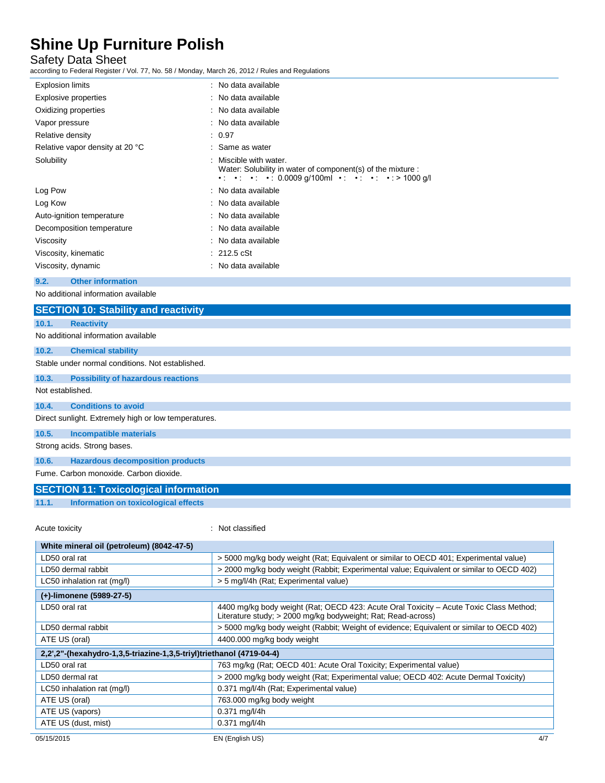### Safety Data Sheet

according to Federal Register / Vol. 77, No. 58 / Monday, March 26, 2012 / Rules and Regulations

| <b>Explosion limits</b>         | : No data available                                                                 |
|---------------------------------|-------------------------------------------------------------------------------------|
| Explosive properties            | : No data available                                                                 |
| Oxidizing properties            | : No data available                                                                 |
| Vapor pressure                  | : No data available                                                                 |
| Relative density                | : 0.97                                                                              |
| Relative vapor density at 20 °C | : Same as water                                                                     |
| Solubility                      | Miscible with water.<br>Water: Solubility in water of component(s) of the mixture : |
| Log Pow                         | : No data available                                                                 |
| Log Kow                         | : No data available                                                                 |
| Auto-ignition temperature       | : No data available                                                                 |
| Decomposition temperature       | : No data available                                                                 |
| Viscosity                       | : No data available                                                                 |
| Viscosity, kinematic            | $: 212.5 \text{ cSt}$                                                               |
| Viscosity, dynamic              | : No data available                                                                 |
|                                 |                                                                                     |

### **9.2. Other information**

No additional information available

|                                                      | <b>SECTION 10: Stability and reactivity</b> |  |  |
|------------------------------------------------------|---------------------------------------------|--|--|
| 10.1.                                                | <b>Reactivity</b>                           |  |  |
| No additional information available                  |                                             |  |  |
| 10.2.                                                | <b>Chemical stability</b>                   |  |  |
| Stable under normal conditions. Not established.     |                                             |  |  |
| 10.3.                                                | <b>Possibility of hazardous reactions</b>   |  |  |
| Not established.                                     |                                             |  |  |
| 10.4.                                                | <b>Conditions to avoid</b>                  |  |  |
| Direct sunlight. Extremely high or low temperatures. |                                             |  |  |
| 10.5.                                                | <b>Incompatible materials</b>               |  |  |
| Strong acids. Strong bases.                          |                                             |  |  |
| 10.6.                                                | <b>Hazardous decomposition products</b>     |  |  |
| Fume, Carbon monoxide, Carbon dioxide.               |                                             |  |  |

# **SECTION 11: Toxicological information**

**11.1. Information on toxicological effects**

Acute toxicity **in the case of the contract of the case of the contract of the contract of the contract of the contract of the contract of the contract of the contract of the contract of the contract of the contract of the** 

r.

| White mineral oil (petroleum) (8042-47-5)                            |                                                                                                                                                        |  |
|----------------------------------------------------------------------|--------------------------------------------------------------------------------------------------------------------------------------------------------|--|
| LD50 oral rat                                                        | > 5000 mg/kg body weight (Rat; Equivalent or similar to OECD 401; Experimental value)                                                                  |  |
| LD50 dermal rabbit                                                   | > 2000 mg/kg body weight (Rabbit; Experimental value; Equivalent or similar to OECD 402)                                                               |  |
| LC50 inhalation rat (mg/l)                                           | > 5 mg/l/4h (Rat; Experimental value)                                                                                                                  |  |
| (+)-limonene (5989-27-5)                                             |                                                                                                                                                        |  |
| LD50 oral rat                                                        | 4400 mg/kg body weight (Rat; OECD 423: Acute Oral Toxicity - Acute Toxic Class Method;<br>Literature study; > 2000 mg/kg bodyweight; Rat; Read-across) |  |
| LD50 dermal rabbit                                                   | > 5000 mg/kg body weight (Rabbit; Weight of evidence; Equivalent or similar to OECD 402)                                                               |  |
| ATE US (oral)                                                        | 4400.000 mg/kg body weight                                                                                                                             |  |
| 2,2".2"-(hexahydro-1,3,5-triazine-1,3,5-triyl)triethanol (4719-04-4) |                                                                                                                                                        |  |
| LD50 oral rat                                                        | 763 mg/kg (Rat; OECD 401: Acute Oral Toxicity; Experimental value)                                                                                     |  |
| LD50 dermal rat                                                      | > 2000 mg/kg body weight (Rat; Experimental value; OECD 402: Acute Dermal Toxicity)                                                                    |  |
| LC50 inhalation rat (mg/l)                                           | 0.371 mg/l/4h (Rat; Experimental value)                                                                                                                |  |
| ATE US (oral)                                                        | 763.000 mg/kg body weight                                                                                                                              |  |
| ATE US (vapors)                                                      | $0.371$ mg/l/4h                                                                                                                                        |  |
| ATE US (dust, mist)                                                  | $0.371$ mg/l/4h                                                                                                                                        |  |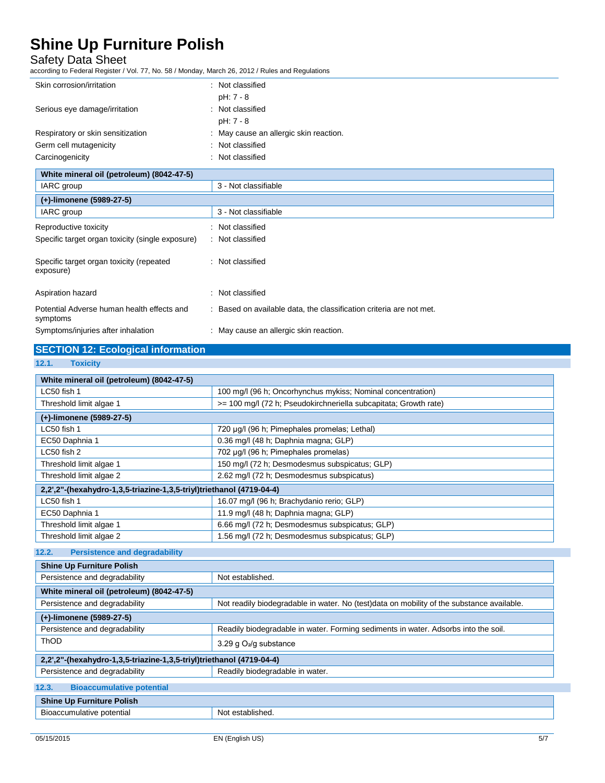### Safety Data Sheet

| according to Federal Register / Vol. 77, No. 58 / Monday, March 26, 2012 / Rules and Regulations |                                                                     |  |
|--------------------------------------------------------------------------------------------------|---------------------------------------------------------------------|--|
| Skin corrosion/irritation                                                                        | : Not classified                                                    |  |
|                                                                                                  | pH: 7 - 8                                                           |  |
| Serious eye damage/irritation                                                                    | : Not classified                                                    |  |
|                                                                                                  | pH: 7 - 8                                                           |  |
| Respiratory or skin sensitization                                                                | : May cause an allergic skin reaction.                              |  |
| Germ cell mutagenicity                                                                           | : Not classified                                                    |  |
| Carcinogenicity                                                                                  | : Not classified                                                    |  |
| White mineral oil (petroleum) (8042-47-5)                                                        |                                                                     |  |
| IARC group                                                                                       | 3 - Not classifiable                                                |  |
| (+)-limonene (5989-27-5)                                                                         |                                                                     |  |
| IARC group                                                                                       | 3 - Not classifiable                                                |  |
| Reproductive toxicity                                                                            | : Not classified                                                    |  |
| Specific target organ toxicity (single exposure)                                                 | : Not classified                                                    |  |
|                                                                                                  |                                                                     |  |
| Specific target organ toxicity (repeated                                                         | : Not classified                                                    |  |
| exposure)                                                                                        |                                                                     |  |
| Aspiration hazard                                                                                | : Not classified                                                    |  |
|                                                                                                  |                                                                     |  |
| Potential Adverse human health effects and<br>symptoms                                           | : Based on available data, the classification criteria are not met. |  |

| Symptoms/injuries after inhalation | May cause an allergic skin reaction. |
|------------------------------------|--------------------------------------|
|                                    |                                      |

# **SECTION 12: Ecological information**

#### **12.1. Toxicity**

| White mineral oil (petroleum) (8042-47-5)                            |                                                                  |  |
|----------------------------------------------------------------------|------------------------------------------------------------------|--|
| LC50 fish 1                                                          | 100 mg/l (96 h; Oncorhynchus mykiss; Nominal concentration)      |  |
| Threshold limit algae 1                                              | >= 100 mg/l (72 h; Pseudokirchneriella subcapitata; Growth rate) |  |
| (+)-limonene (5989-27-5)                                             |                                                                  |  |
| LC50 fish 1                                                          | 720 µg/l (96 h; Pimephales promelas; Lethal)                     |  |
| EC50 Daphnia 1                                                       | 0.36 mg/l (48 h; Daphnia magna; GLP)                             |  |
| LC50 fish 2                                                          | 702 µg/l (96 h; Pimephales promelas)                             |  |
| Threshold limit algae 1                                              | 150 mg/l (72 h; Desmodesmus subspicatus; GLP)                    |  |
| Threshold limit algae 2                                              | 2.62 mg/l (72 h; Desmodesmus subspicatus)                        |  |
| 2,2",2"-(hexahydro-1,3,5-triazine-1,3,5-triyl)triethanol (4719-04-4) |                                                                  |  |
| LC50 fish 1                                                          | 16.07 mg/l (96 h; Brachydanio rerio; GLP)                        |  |
| EC50 Daphnia 1                                                       | 11.9 mg/l (48 h; Daphnia magna; GLP)                             |  |
| Threshold limit algae 1                                              | 6.66 mg/l (72 h; Desmodesmus subspicatus; GLP)                   |  |
| Threshold limit algae 2                                              | 1.56 mg/l (72 h; Desmodesmus subspicatus; GLP)                   |  |

### **12.2. Persistence and degradability**

| <b>Shine Up Furniture Polish</b>                                     |                                                                                           |  |
|----------------------------------------------------------------------|-------------------------------------------------------------------------------------------|--|
| Persistence and degradability                                        | Not established.                                                                          |  |
| White mineral oil (petroleum) (8042-47-5)                            |                                                                                           |  |
| Persistence and degradability                                        | Not readily biodegradable in water. No (test)data on mobility of the substance available. |  |
| (+)-limonene (5989-27-5)                                             |                                                                                           |  |
| Persistence and degradability                                        | Readily biodegradable in water. Forming sediments in water. Adsorbs into the soil.        |  |
| ThOD                                                                 | 3.29 g $O_2$ /g substance                                                                 |  |
| 2,2",2"-(hexahydro-1,3,5-triazine-1,3,5-triyl)triethanol (4719-04-4) |                                                                                           |  |
| Readily biodegradable in water.<br>Persistence and degradability     |                                                                                           |  |
| 12.3.<br><b>Bioaccumulative potential</b>                            |                                                                                           |  |
| <b>Shine Up Furniture Polish</b>                                     |                                                                                           |  |
| Bioaccumulative potential<br>Not established.                        |                                                                                           |  |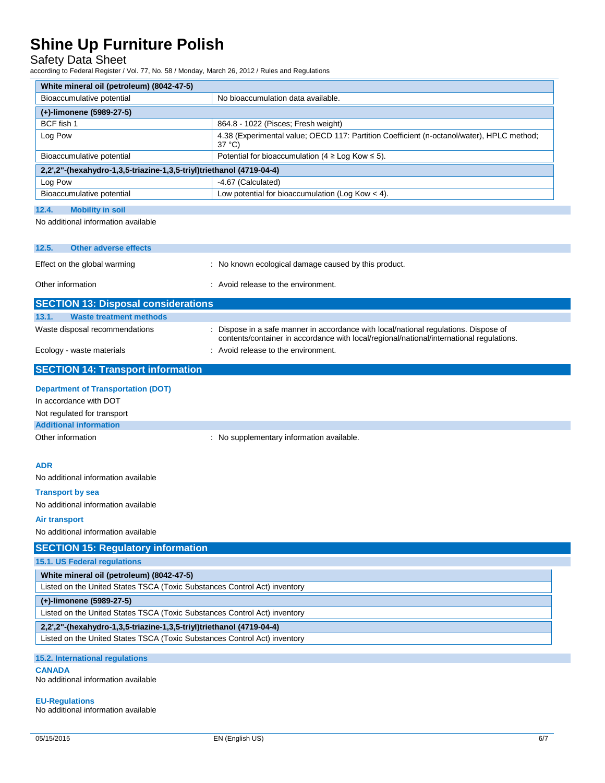### Safety Data Sheet

according to Federal Register / Vol. 77, No. 58 / Monday, March 26, 2012 / Rules and Regulations

| White mineral oil (petroleum) (8042-47-5)                                 |                                                                                                                                                                                |  |
|---------------------------------------------------------------------------|--------------------------------------------------------------------------------------------------------------------------------------------------------------------------------|--|
| Bioaccumulative potential                                                 | No bioaccumulation data available.                                                                                                                                             |  |
| (+)-limonene (5989-27-5)                                                  |                                                                                                                                                                                |  |
| BCF fish 1                                                                | 864.8 - 1022 (Pisces; Fresh weight)                                                                                                                                            |  |
| Log Pow                                                                   | 4.38 (Experimental value; OECD 117: Partition Coefficient (n-octanol/water), HPLC method;<br>37 °C)                                                                            |  |
| Bioaccumulative potential                                                 | Potential for bioaccumulation (4 $\geq$ Log Kow $\leq$ 5).                                                                                                                     |  |
| 2,2',2"-(hexahydro-1,3,5-triazine-1,3,5-triyl)triethanol (4719-04-4)      |                                                                                                                                                                                |  |
| Log Pow                                                                   | -4.67 (Calculated)                                                                                                                                                             |  |
| Bioaccumulative potential                                                 | Low potential for bioaccumulation (Log Kow $<$ 4).                                                                                                                             |  |
| 12.4.<br><b>Mobility in soil</b>                                          |                                                                                                                                                                                |  |
| No additional information available                                       |                                                                                                                                                                                |  |
|                                                                           |                                                                                                                                                                                |  |
| 12.5.<br><b>Other adverse effects</b>                                     |                                                                                                                                                                                |  |
| Effect on the global warming                                              | : No known ecological damage caused by this product.                                                                                                                           |  |
| Other information                                                         | : Avoid release to the environment.                                                                                                                                            |  |
| <b>SECTION 13: Disposal considerations</b>                                |                                                                                                                                                                                |  |
| 13.1.<br><b>Waste treatment methods</b>                                   |                                                                                                                                                                                |  |
| Waste disposal recommendations                                            | Dispose in a safe manner in accordance with local/national regulations. Dispose of<br>contents/container in accordance with local/regional/national/international regulations. |  |
| Ecology - waste materials                                                 | : Avoid release to the environment.                                                                                                                                            |  |
| <b>SECTION 14: Transport information</b>                                  |                                                                                                                                                                                |  |
| <b>Department of Transportation (DOT)</b>                                 |                                                                                                                                                                                |  |
| In accordance with DOT                                                    |                                                                                                                                                                                |  |
| Not regulated for transport                                               |                                                                                                                                                                                |  |
| <b>Additional information</b>                                             |                                                                                                                                                                                |  |
| Other information                                                         | : No supplementary information available.                                                                                                                                      |  |
|                                                                           |                                                                                                                                                                                |  |
| <b>ADR</b>                                                                |                                                                                                                                                                                |  |
| No additional information available                                       |                                                                                                                                                                                |  |
| <b>Transport by sea</b>                                                   |                                                                                                                                                                                |  |
| No additional information available                                       |                                                                                                                                                                                |  |
| Air transport                                                             |                                                                                                                                                                                |  |
| No additional information available                                       |                                                                                                                                                                                |  |
|                                                                           |                                                                                                                                                                                |  |
| <b>SECTION 15: Regulatory information</b>                                 |                                                                                                                                                                                |  |
| 15.1. US Federal regulations                                              |                                                                                                                                                                                |  |
| White mineral oil (petroleum) (8042-47-5)                                 |                                                                                                                                                                                |  |
| Listed on the United States TSCA (Toxic Substances Control Act) inventory |                                                                                                                                                                                |  |
| (+)-limonene (5989-27-5)                                                  |                                                                                                                                                                                |  |
| Listed on the United States TSCA (Toxic Substances Control Act) inventory |                                                                                                                                                                                |  |
| 2,2',2"-(hexahydro-1,3,5-triazine-1,3,5-triyl)triethanol (4719-04-4)      |                                                                                                                                                                                |  |
| Listed on the United States TSCA (Toxic Substances Control Act) inventory |                                                                                                                                                                                |  |
| 15.2. International regulations                                           |                                                                                                                                                                                |  |
| <b>CANADA</b>                                                             |                                                                                                                                                                                |  |

No additional information available

**EU-Regulations** No additional information available